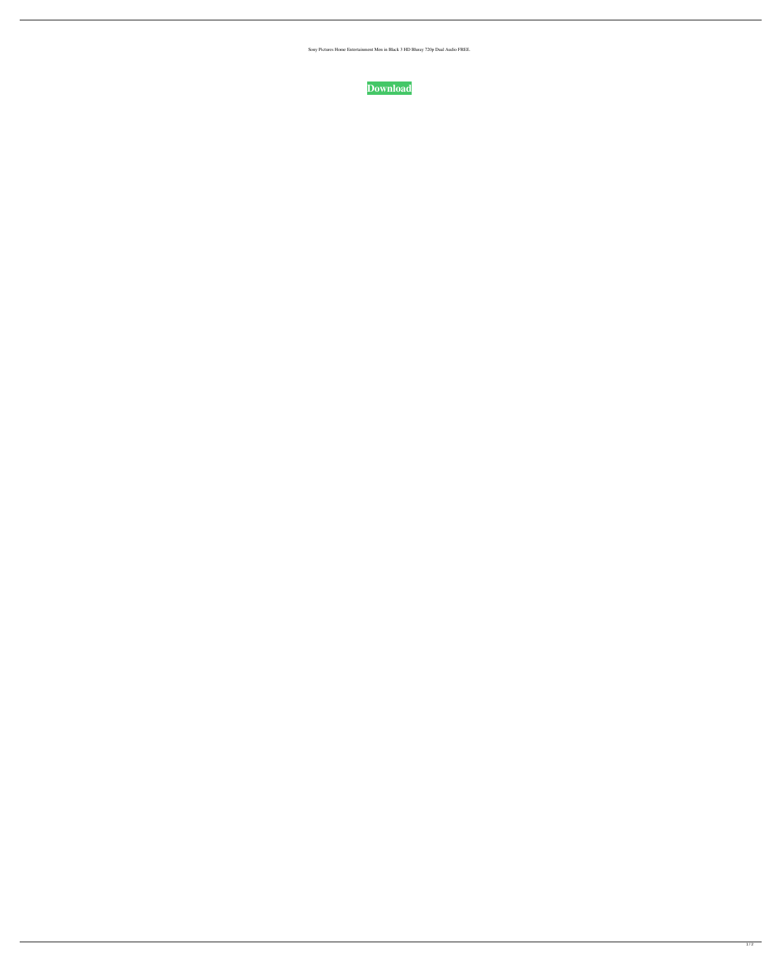Sony Pictures Home Entertainment Men in Black 3 HD Bluray 720p Dual Audio FREE.